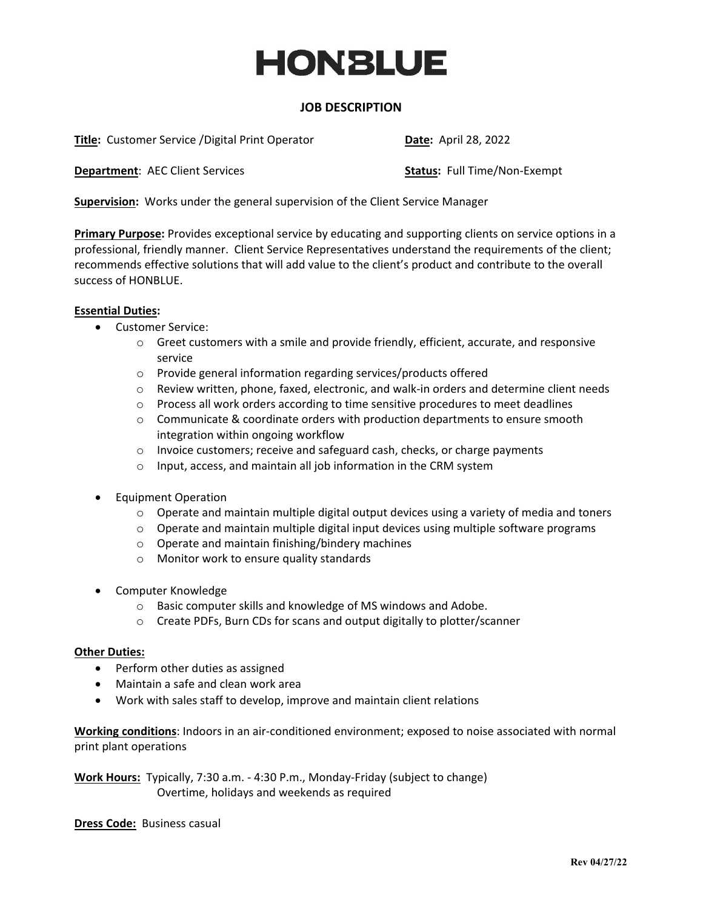# **HONBLUE**

# **JOB DESCRIPTION**

**Title:** Customer Service /Digital Print Operator **Date:** April 28, 2022

**Department: AEC Client Services <b>Status:** Full Time/Non-Exempt

**Supervision:** Works under the general supervision of the Client Service Manager

**Primary Purpose:** Provides exceptional service by educating and supporting clients on service options in a professional, friendly manner. Client Service Representatives understand the requirements of the client; recommends effective solutions that will add value to the client's product and contribute to the overall success of HONBLUE.

## **Essential Duties:**

- Customer Service:
	- $\circ$  Greet customers with a smile and provide friendly, efficient, accurate, and responsive service
	- o Provide general information regarding services/products offered
	- o Review written, phone, faxed, electronic, and walk-in orders and determine client needs
	- o Process all work orders according to time sensitive procedures to meet deadlines
	- o Communicate & coordinate orders with production departments to ensure smooth integration within ongoing workflow
	- $\circ$  Invoice customers; receive and safeguard cash, checks, or charge payments
	- o Input, access, and maintain all job information in the CRM system
- Equipment Operation
	- $\circ$  Operate and maintain multiple digital output devices using a variety of media and toners
	- $\circ$  Operate and maintain multiple digital input devices using multiple software programs
	- o Operate and maintain finishing/bindery machines
	- o Monitor work to ensure quality standards
- Computer Knowledge
	- o Basic computer skills and knowledge of MS windows and Adobe.
	- o Create PDFs, Burn CDs for scans and output digitally to plotter/scanner

#### **Other Duties:**

- Perform other duties as assigned
- Maintain a safe and clean work area
- Work with sales staff to develop, improve and maintain client relations

**Working conditions**: Indoors in an air-conditioned environment; exposed to noise associated with normal print plant operations

**Work Hours:** Typically, 7:30 a.m. - 4:30 P.m., Monday-Friday (subject to change) Overtime, holidays and weekends as required

**Dress Code:** Business casual